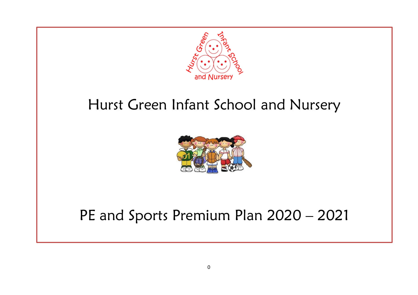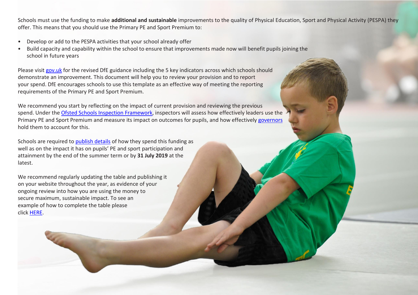Schools must use the funding to make **additional and sustainable** improvements to the quality of Physical Education, Sport and Physical Activity (PESPA) they offer. This means that you should use the Primary PE and Sport Premium to:

- Develop or add to the PESPA activities that your school already offer
- Build capacity and capability within the school to ensure that improvements made now will benefit pupils joining the school in future years

Please visit [gov.uk](https://www.gov.uk/guidance/pe-and-sport-premium-for-primary-schools) for the revised DfE guidance including the 5 key indicators across which schools should demonstrate an improvement. This document will help you to review your provision and to report your spend. DfE encourages schools to use this template as an effective way of meeting the reporting requirements of the Primary PE and Sport Premium.

We recommend you start by reflecting on the impact of current provision and reviewing the previous spend. Under the Ofsted Schools Inspection [Framework,](https://www.gov.uk/government/publications/school-inspection-handbook-from-september-2015) inspectors will assess how effectively leaders use the Primary PE and Sport Premium and measure its impact on outcomes for pupils, and how effectively [governors](https://www.gov.uk/government/publications/governance-handbook) hold them to account for this.

Schools are required to [publish details](https://www.gov.uk/guidance/what-maintained-schools-must-publish-online#pe-and-sport-premium-for-primary-schools) of how they spend this funding as well as on the impact it has on pupils' PE and sport participation and attainment by the end of the summer term or by **31 July 2019** at the latest.

We recommend regularly updating the table and publishing it on your website throughout the year, as evidence of your ongoing review into how you are using the money to secure maximum, sustainable impact. To see an example of how to complete the table please click [HERE.](http://www.afpe.org.uk/physical-education/wp-content/uploads/afPE-Example-Template-Indicator-2018-Final.pdf)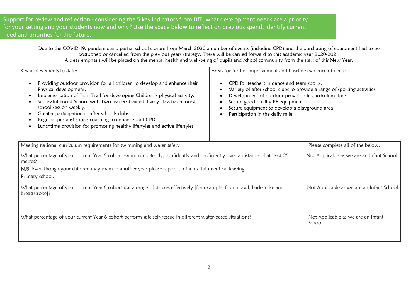Support for review and reflection - considering the 5 key indicators from DfE, what development needs are a priority for your setting and your students now and why? Use the space below to reflect on previous spend, identify current need and priorities for the future.

> Due to the COVID-19, pandemic and partial school closure from March 2020 a number of events (including CPD) and the purchasing of equipment had to be postponed or cancelled from the previous years strategy. These will be carried forward to this academic year 2020-2021. A clear emphasis will be placed on the mental health and well-being of pupils and school community from the start of this New Year.

| Key achievements to date:                                                                                                                                                                                                                                                                                                                                                                                                                                                           | Areas for further improvement and baseline evidence of need:                                                                                                                                                                                                                                                              |                                               |  |
|-------------------------------------------------------------------------------------------------------------------------------------------------------------------------------------------------------------------------------------------------------------------------------------------------------------------------------------------------------------------------------------------------------------------------------------------------------------------------------------|---------------------------------------------------------------------------------------------------------------------------------------------------------------------------------------------------------------------------------------------------------------------------------------------------------------------------|-----------------------------------------------|--|
| Providing outdoor provision for all children to develop and enhance their<br>Physical development.<br>Implementation of Trim Trail for developing Children's physical activity.<br>Successful Forest School with Two leaders trained. Every class has a forest<br>school session weekly.<br>Greater participation in after schools clubs.<br>Regular specialist sports coaching to enhance staff CPD.<br>Lunchtime provision for promoting healthy lifestyles and active lifestyles | CPD for teachers in dance and team sports.<br>$\bullet$<br>Variety of after school clubs to provide a range of sporting activities.<br>٠<br>Development of outdoor provision in curriculum time.<br>Secure good quality PE equipment<br>Secure equipment to develop a playground area<br>Participation in the daily mile. |                                               |  |
| Meeting national curriculum requirements for swimming and water safety                                                                                                                                                                                                                                                                                                                                                                                                              |                                                                                                                                                                                                                                                                                                                           | Please complete all of the below:             |  |
| What percentage of your current Year 6 cohort swim competently, confidently and proficiently over a distance of at least 25<br>metres?                                                                                                                                                                                                                                                                                                                                              |                                                                                                                                                                                                                                                                                                                           | Not Applicable as we are an Infant School.    |  |
| N.B. Even though your children may swim in another year please report on their attainment on leaving                                                                                                                                                                                                                                                                                                                                                                                |                                                                                                                                                                                                                                                                                                                           |                                               |  |
| Primary school.                                                                                                                                                                                                                                                                                                                                                                                                                                                                     |                                                                                                                                                                                                                                                                                                                           |                                               |  |
| What percentage of your current Year 6 cohort use a range of strokes effectively [for example, front crawl, backstroke and<br>breaststroke]?                                                                                                                                                                                                                                                                                                                                        | Not Applicable as we are an Infant School.                                                                                                                                                                                                                                                                                |                                               |  |
| What percentage of your current Year 6 cohort perform safe self-rescue in different water-based situations?                                                                                                                                                                                                                                                                                                                                                                         |                                                                                                                                                                                                                                                                                                                           | Not Applicable as we are an Infant<br>School. |  |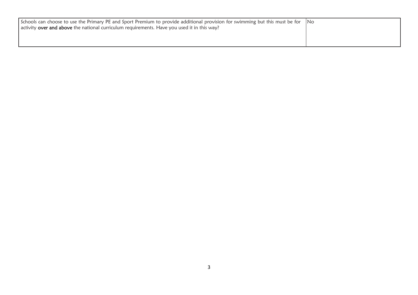| Schools can choose to use the Primary PE and Sport Premium to provide additional provision for swimming but this must be for No<br>activity over and above the national curriculum requirements. Have you used it in this way? |  |
|--------------------------------------------------------------------------------------------------------------------------------------------------------------------------------------------------------------------------------|--|
|                                                                                                                                                                                                                                |  |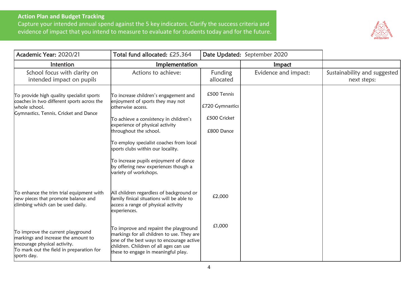## **Action Plan and Budget Tracking**

Capture your intended annual spend against the 5 key indicators. Clarify the success criteria and evidence of impact that you intend to measure to evaluate for students today and for the future.



| Academic Year: 2020/21                                                                                                                                              | Total fund allocated: £25,364                                                                                                                                                                                                                                                                                                                                                                   |                                                              | Date Updated: September 2020 |                                             |  |
|---------------------------------------------------------------------------------------------------------------------------------------------------------------------|-------------------------------------------------------------------------------------------------------------------------------------------------------------------------------------------------------------------------------------------------------------------------------------------------------------------------------------------------------------------------------------------------|--------------------------------------------------------------|------------------------------|---------------------------------------------|--|
| Intention                                                                                                                                                           | Implementation                                                                                                                                                                                                                                                                                                                                                                                  |                                                              | Impact                       |                                             |  |
| School focus with clarity on<br>intended impact on pupils                                                                                                           | Actions to achieve:                                                                                                                                                                                                                                                                                                                                                                             | Funding<br>allocated                                         | Evidence and impact:         | Sustainability and suggested<br>next steps: |  |
| To provide high quality specialist sports<br>coaches in two different sports across the<br>whole school.<br>Gymnastics, Tennis, Cricket and Dance                   | To increase children's engagement and<br>enjoyment of sports they may not<br>otherwise access.<br>To achieve a consistency in children's<br>experience of physical activity<br>throughout the school.<br>To employ specialist coaches from local<br>sports clubs within our locality.<br>To increase pupils enjoyment of dance<br>by offering new experiences though a<br>variety of workshops. | £500 Tennis<br>£720 Gymnastics<br>£500 Cricket<br>£800 Dance |                              |                                             |  |
| To enhance the trim trial equipment with<br>new pieces that promote balance and<br>climbing which can be used daily.                                                | All children regardless of background or<br>family finical situations will be able to<br>access a range of physical activity<br>experiences.                                                                                                                                                                                                                                                    | £2,000                                                       |                              |                                             |  |
| To improve the current playground<br>markings and increase the amount to<br>encourage physical activity.<br>To mark out the field in preparation for<br>sports day. | To improve and repaint the playground<br>markings for all children to use. They are<br>one of the best ways to encourage active<br>children. Children of all ages can use<br>these to engage in meaningful play.                                                                                                                                                                                | £1,000                                                       |                              |                                             |  |

ľ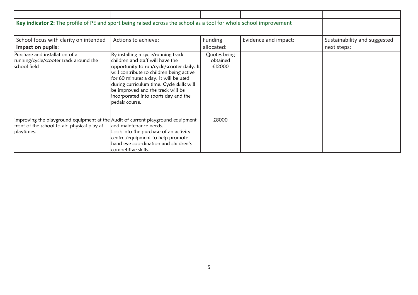| Key indicator 2: The profile of PE and sport being raised across the school as a tool for whole school improvement                           |                                                                                                                                                                                                                                                                                                                                                             |                                    |                      |                                             |
|----------------------------------------------------------------------------------------------------------------------------------------------|-------------------------------------------------------------------------------------------------------------------------------------------------------------------------------------------------------------------------------------------------------------------------------------------------------------------------------------------------------------|------------------------------------|----------------------|---------------------------------------------|
| School focus with clarity on intended<br>impact on pupils:                                                                                   | Actions to achieve:                                                                                                                                                                                                                                                                                                                                         | Funding<br>allocated:              | Evidence and impact: | Sustainability and suggested<br>next steps: |
| Purchase and installation of a<br>running/cycle/scooter track around the<br>school field                                                     | By installing a cycle/running track<br>children and staff will have the<br>opportunity to run/cycle/scooter daily. It<br>will contribute to children being active $\,$<br>for 60 minutes a day. It will be used<br>during curriculum time. Cycle skills will<br>be improved and the track will be<br>incorporated into sports day and the<br>bedals course. | Quotes being<br>obtained<br>£12000 |                      |                                             |
| Improving the playground equipment at the Audit of current playground equipment<br>front of the school to aid physical play at<br>playtimes. | and maintenance needs.<br>Look into the purchase of an activity<br>centre /equipment to help promote<br>hand eye coordination and children's<br>competitive skills.                                                                                                                                                                                         | £8000                              |                      |                                             |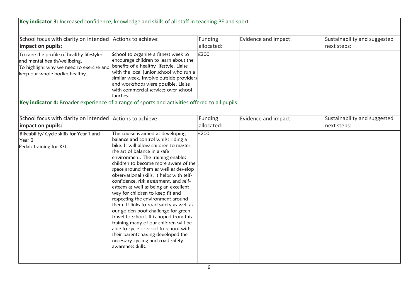| Key indicator 3: Increased confidence, knowledge and skills of all staff in teaching PE and sport                                                        |                                                                                                                                                                                                                                                                                                                                                                                                                                                                                                                                                                                                                                                                                                                                                                                                 |                       |                      |                                             |
|----------------------------------------------------------------------------------------------------------------------------------------------------------|-------------------------------------------------------------------------------------------------------------------------------------------------------------------------------------------------------------------------------------------------------------------------------------------------------------------------------------------------------------------------------------------------------------------------------------------------------------------------------------------------------------------------------------------------------------------------------------------------------------------------------------------------------------------------------------------------------------------------------------------------------------------------------------------------|-----------------------|----------------------|---------------------------------------------|
| School focus with clarity on intended Actions to achieve:<br>impact on pupils:                                                                           |                                                                                                                                                                                                                                                                                                                                                                                                                                                                                                                                                                                                                                                                                                                                                                                                 | Funding<br>allocated: | Evidence and impact: | Sustainability and suggested<br>next steps: |
| To raise the profile of healthy lifestyles<br>and mental health/wellbeing.<br>To highlight why we need to exercise and<br>keep our whole bodies healthy. | School to organise a fitness week to<br>encourage children to learn about the<br>benefits of a healthy lifestyle. Liaise<br>with the local junior school who run a<br>similar week. Involve outside providers<br>and workshops were possible. Liaise<br>with commercial services over school<br>llunches.                                                                                                                                                                                                                                                                                                                                                                                                                                                                                       | £200                  |                      |                                             |
| Key indicator 4: Broader experience of a range of sports and activities offered to all pupils                                                            |                                                                                                                                                                                                                                                                                                                                                                                                                                                                                                                                                                                                                                                                                                                                                                                                 |                       |                      |                                             |
| School focus with clarity on intended Actions to achieve:<br>impact on pupils:                                                                           |                                                                                                                                                                                                                                                                                                                                                                                                                                                                                                                                                                                                                                                                                                                                                                                                 | Funding<br>allocated: | Evidence and impact: | Sustainability and suggested<br>next steps: |
| Bikeability/ Cycle skills for Year 1 and<br>Year 2<br>Pedals training for KS1.                                                                           | The course is aimed at developing<br>balance and control whilst riding a<br>bike. It will allow children to master<br>the art of balance in a safe<br>environment. The training enables<br>children to become more aware of the<br>space around them as well as develop<br>observational skills. It helps with self-<br>confidence, risk assessment, and self-<br>esteem as well as being an excellent<br>way for children to keep fit and<br>respecting the environment around<br>them. It links to road safety as well as<br>our golden boot challenge for green<br>travel to school. It is hoped from this<br>training many of our children will be<br>able to cycle or scoot to school with<br>their parents having developed the<br>necessary cycling and road safety<br>awareness skills. | £200                  |                      |                                             |